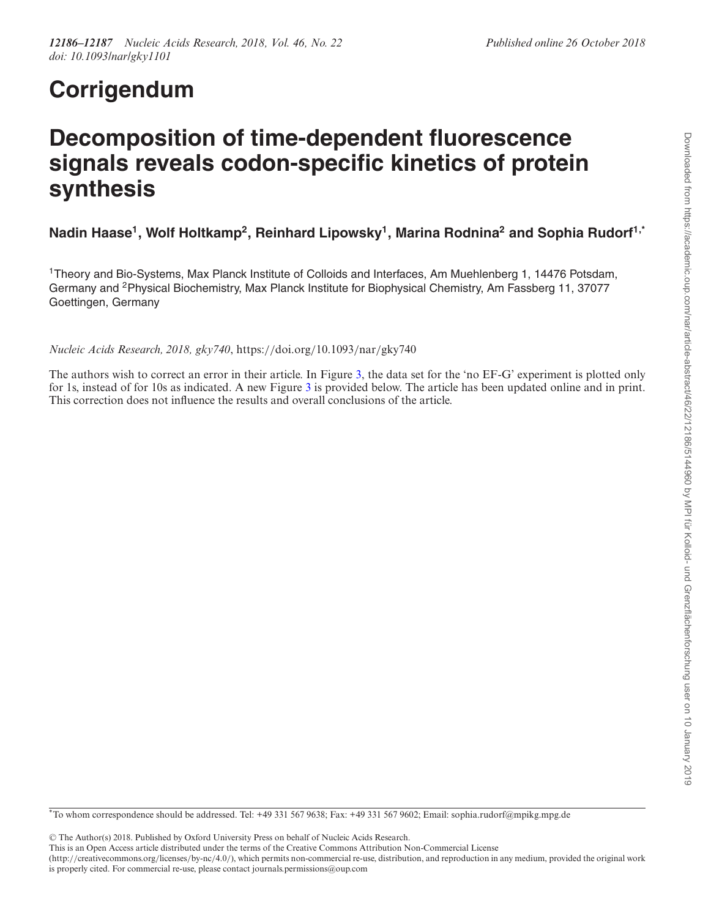## **Corrigendum**

## **Decomposition of time-dependent fluorescence signals reveals codon-specific kinetics of protein synthesis**

## **Nadin Haase1, Wolf Holtkamp2, Reinhard Lipowsky1, Marina Rodnina2 and Sophia Rudorf1,\***

1Theory and Bio-Systems, Max Planck Institute of Colloids and Interfaces, Am Muehlenberg 1, 14476 Potsdam, Germany and 2Physical Biochemistry, Max Planck Institute for Biophysical Chemistry, Am Fassberg 11, 37077 Goettingen, Germany

*Nucleic Acids Research, 2018, gky740*, https://doi.org/10.1093/nar/gky740

The authors wish to correct an error in their article. In Figure [3,](#page-1-0) the data set for the 'no EF-G' experiment is plotted only for 1s, instead of for 10s as indicated. A new Figure [3](#page-1-0) is provided below. The article has been updated online and in print. This correction does not influence the results and overall conclusions of the article.

\*To whom correspondence should be addressed. Tel: +49 331 567 9638; Fax: +49 331 567 9602; Email: sophia.rudorf@mpikg.mpg.de

-<sup>C</sup> The Author(s) 2018. Published by Oxford University Press on behalf of Nucleic Acids Research.

(http://creativecommons.org/licenses/by-nc/4.0/), which permits non-commercial re-use, distribution, and reproduction in any medium, provided the original work is properly cited. For commercial re-use, please contact journals.permissions@oup.com

This is an Open Access article distributed under the terms of the Creative Commons Attribution Non-Commercial License